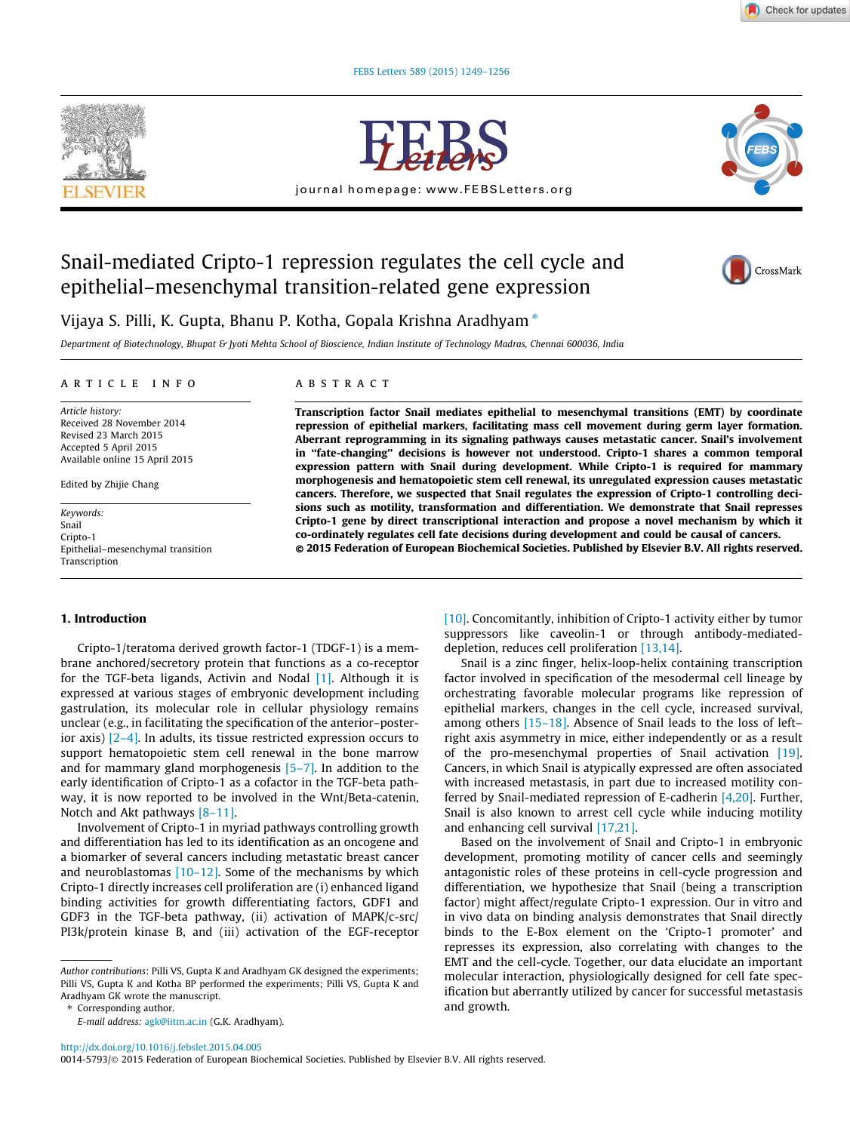**Check for updates** 

FEBS Letters 589 (2015) 1249–1256





journal homepage: www.FEBSLetters.org



# Snail-mediated Cripto-1 repression regulates the cell cycle and epithelial–mesenchymal transition-related gene expression



Vijaya S. Pilli, K. Gupta, Bhanu P. Kotha, Gopala Krishna Aradhyam  $*$ 

Department of Biotechnology, Bhupat & Jyoti Mehta School of Bioscience, Indian Institute of Technology Madras, Chennai 600036, India

## article info

Article history: Received 28 November 2014 Revised 23 March 2015 Accepted 5 April 2015 Available online 15 April 2015

Edited by Zhijie Chang

Keywords: Snail Cripto-1 Epithelial–mesenchymal transition Transcription

## 1. Introduction

Cripto-1/teratoma derived growth factor-1 (TDGF-1) is a membrane anchored/secretory protein that functions as a co-receptor for the TGF-beta ligands, Activin and Nodal [1]. Although it is expressed at various stages of embryonic development including gastrulation, its molecular role in cellular physiology remains unclear (e.g., in facilitating the specification of the anterior–posterior axis) [2–4]. In adults, its tissue restricted expression occurs to support hematopoietic stem cell renewal in the bone marrow and for mammary gland morphogenesis [5–7]. In addition to the early identification of Cripto-1 as a cofactor in the TGF-beta pathway, it is now reported to be involved in the Wnt/Beta-catenin, Notch and Akt pathways  $[8-11]$ .

Involvement of Cripto-1 in myriad pathways controlling growth and differentiation has led to its identification as an oncogene and a biomarker of several cancers including metastatic breast cancer and neuroblastomas  $[10-12]$ . Some of the mechanisms by which Cripto-1 directly increases cell proliferation are (i) enhanced ligand binding activities for growth differentiating factors, GDF1 and GDF3 in the TGF-beta pathway, (ii) activation of MAPK/c-src/ PI3k/protein kinase B, and (iii) activation of the EGF-receptor

⇑ Corresponding author.

E-mail address: agk@iitm.ac.in (G.K. Aradhyam).

# ABSTRACT

Transcription factor Snail mediates epithelial to mesenchymal transitions (EMT) by coordinate repression of epithelial markers, facilitating mass cell movement during germ layer formation. Aberrant reprogramming in its signaling pathways causes metastatic cancer. Snail's involvement in ''fate-changing'' decisions is however not understood. Cripto-1 shares a common temporal expression pattern with Snail during development. While Cripto-1 is required for mammary morphogenesis and hematopoietic stem cell renewal, its unregulated expression causes metastatic cancers. Therefore, we suspected that Snail regulates the expression of Cripto-1 controlling decisions such as motility, transformation and differentiation. We demonstrate that Snail represses Cripto-1 gene by direct transcriptional interaction and propose a novel mechanism by which it co-ordinately regulates cell fate decisions during development and could be causal of cancers. - 2015 Federation of European Biochemical Societies. Published by Elsevier B.V. All rights reserved.

> [10]. Concomitantly, inhibition of Cripto-1 activity either by tumor suppressors like caveolin-1 or through antibody-mediateddepletion, reduces cell proliferation [13,14].

> Snail is a zinc finger, helix-loop-helix containing transcription factor involved in specification of the mesodermal cell lineage by orchestrating favorable molecular programs like repression of epithelial markers, changes in the cell cycle, increased survival, among others [15–18]. Absence of Snail leads to the loss of left– right axis asymmetry in mice, either independently or as a result of the pro-mesenchymal properties of Snail activation [19]. Cancers, in which Snail is atypically expressed are often associated with increased metastasis, in part due to increased motility conferred by Snail-mediated repression of E-cadherin [4,20]. Further, Snail is also known to arrest cell cycle while inducing motility and enhancing cell survival [17,21].

> Based on the involvement of Snail and Cripto-1 in embryonic development, promoting motility of cancer cells and seemingly antagonistic roles of these proteins in cell-cycle progression and differentiation, we hypothesize that Snail (being a transcription factor) might affect/regulate Cripto-1 expression. Our in vitro and in vivo data on binding analysis demonstrates that Snail directly binds to the E-Box element on the 'Cripto-1 promoter' and represses its expression, also correlating with changes to the EMT and the cell-cycle. Together, our data elucidate an important molecular interaction, physiologically designed for cell fate specification but aberrantly utilized by cancer for successful metastasis and growth.

http://dx.doi.org/10.1016/j.febslet.2015.04.005

Author contributions: Pilli VS, Gupta K and Aradhyam GK designed the experiments; Pilli VS, Gupta K and Kotha BP performed the experiments; Pilli VS, Gupta K and Aradhyam GK wrote the manuscript.

<sup>0014-5793/© 2015</sup> Federation of European Biochemical Societies. Published by Elsevier B.V. All rights reserved.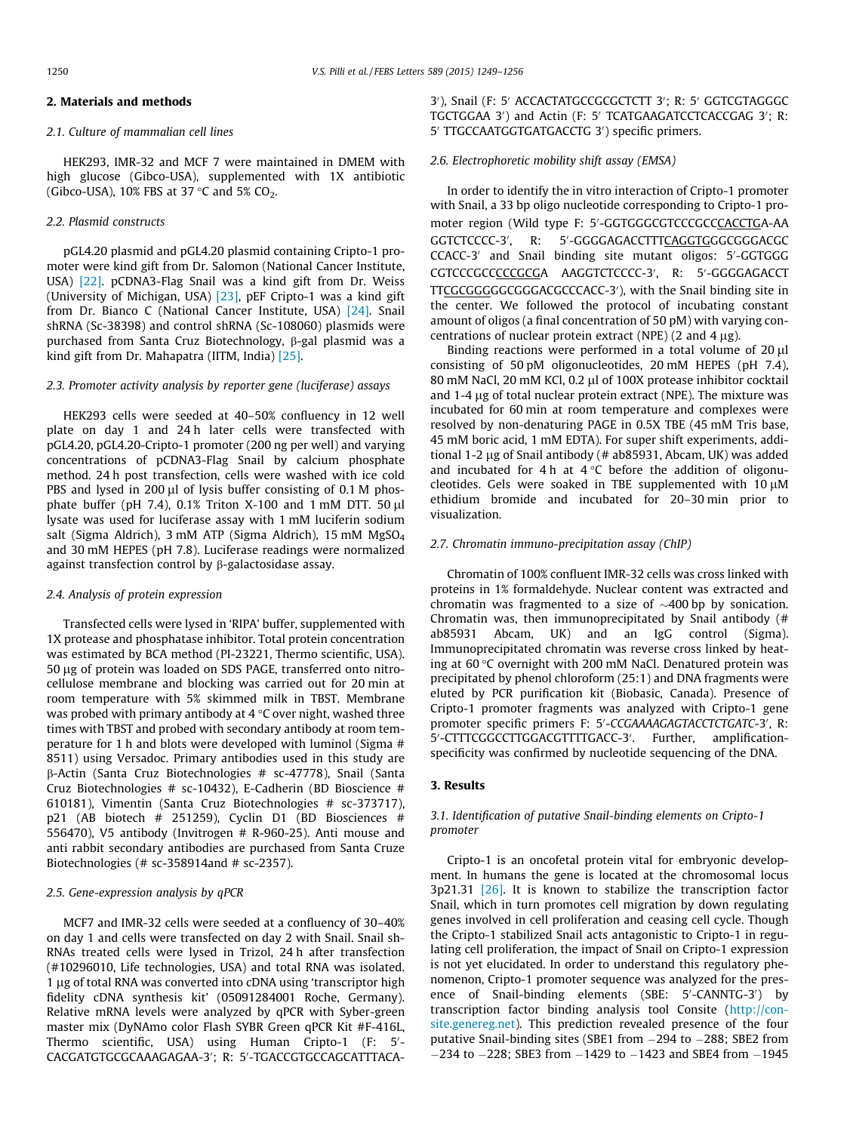# 2. Materials and methods

## 2.1. Culture of mammalian cell lines

HEK293, IMR-32 and MCF 7 were maintained in DMEM with high glucose (Gibco-USA), supplemented with 1X antibiotic (Gibco-USA), 10% FBS at 37 °C and 5%  $CO<sub>2</sub>$ .

## 2.2. Plasmid constructs

pGL4.20 plasmid and pGL4.20 plasmid containing Cripto-1 promoter were kind gift from Dr. Salomon (National Cancer Institute, USA) [22]. pCDNA3-Flag Snail was a kind gift from Dr. Weiss (University of Michigan, USA) [23], pEF Cripto-1 was a kind gift from Dr. Bianco C (National Cancer Institute, USA) [24]. Snail shRNA (Sc-38398) and control shRNA (Sc-108060) plasmids were purchased from Santa Cruz Biotechnology, β-gal plasmid was a kind gift from Dr. Mahapatra (IITM, India) [25].

## 2.3. Promoter activity analysis by reporter gene (luciferase) assays

HEK293 cells were seeded at 40–50% confluency in 12 well plate on day 1 and 24 h later cells were transfected with pGL4.20, pGL4.20-Cripto-1 promoter (200 ng per well) and varying concentrations of pCDNA3-Flag Snail by calcium phosphate method. 24 h post transfection, cells were washed with ice cold PBS and lysed in 200  $\mu$ l of lysis buffer consisting of 0.1 M phosphate buffer (pH 7.4),  $0.1\%$  Triton X-100 and 1 mM DTT. 50  $\mu$ l lysate was used for luciferase assay with 1 mM luciferin sodium salt (Sigma Aldrich), 3 mM ATP (Sigma Aldrich), 15 mM MgSO<sup>4</sup> and 30 mM HEPES (pH 7.8). Luciferase readings were normalized against transfection control by b-galactosidase assay.

## 2.4. Analysis of protein expression

Transfected cells were lysed in 'RIPA' buffer, supplemented with 1X protease and phosphatase inhibitor. Total protein concentration was estimated by BCA method (PI-23221, Thermo scientific, USA). 50 lg of protein was loaded on SDS PAGE, transferred onto nitrocellulose membrane and blocking was carried out for 20 min at room temperature with 5% skimmed milk in TBST. Membrane was probed with primary antibody at 4  $\degree$ C over night, washed three times with TBST and probed with secondary antibody at room temperature for 1 h and blots were developed with luminol (Sigma # 8511) using Versadoc. Primary antibodies used in this study are b-Actin (Santa Cruz Biotechnologies # sc-47778), Snail (Santa Cruz Biotechnologies # sc-10432), E-Cadherin (BD Bioscience # 610181), Vimentin (Santa Cruz Biotechnologies # sc-373717), p21 (AB biotech # 251259), Cyclin D1 (BD Biosciences # 556470), V5 antibody (Invitrogen # R-960-25). Anti mouse and anti rabbit secondary antibodies are purchased from Santa Cruze Biotechnologies (# sc-358914and # sc-2357).

#### 2.5. Gene-expression analysis by qPCR

MCF7 and IMR-32 cells were seeded at a confluency of 30–40% on day 1 and cells were transfected on day 2 with Snail. Snail sh-RNAs treated cells were lysed in Trizol, 24 h after transfection (#10296010, Life technologies, USA) and total RNA was isolated. 1 µg of total RNA was converted into cDNA using 'transcriptor high fidelity cDNA synthesis kit' (05091284001 Roche, Germany). Relative mRNA levels were analyzed by qPCR with Syber-green master mix (DyNAmo color Flash SYBR Green qPCR Kit #F-416L, Thermo scientific, USA) using Human Cripto-1 (F: 5'-CACGATGTGCGCAAAGAGAA-3'; R: 5'-TGACCGTGCCAGCATTTACA-

3'), Snail (F: 5' ACCACTATGCCGCGCTCTT 3'; R: 5' GGTCGTAGGGC TGCTGGAA 3') and Actin (F: 5' TCATGAAGATCCTCACCGAG 3'; R: 5' TTGCCAATGGTGATGACCTG 3') specific primers.

## 2.6. Electrophoretic mobility shift assay (EMSA)

In order to identify the in vitro interaction of Cripto-1 promoter with Snail, a 33 bp oligo nucleotide corresponding to Cripto-1 promoter region (Wild type F: 5'-GGTGGGCGTCCCGCCCACCTGA-AA GGTCTCCCC-3', R: 5'-GGGGAGACCTTTCAGGTGGGCGGGACGC CCACC-3' and Snail binding site mutant oligos: 5'-GGTGGG CGTCCCGCCCCCGCGA AAGGTCTCCCC-3', R: 5'-GGGGAGACCT TTCGCGGGGGGGGACGCCCACC-3'), with the Snail binding site in the center. We followed the protocol of incubating constant amount of oligos (a final concentration of 50 pM) with varying concentrations of nuclear protein extract (NPE)  $(2 \text{ and } 4 \mu \text{g})$ .

Binding reactions were performed in a total volume of  $20 \mu$ l consisting of 50 pM oligonucleotides, 20 mM HEPES (pH 7.4), 80 mM NaCl, 20 mM KCl, 0.2 µl of 100X protease inhibitor cocktail and 1-4 µg of total nuclear protein extract (NPE). The mixture was incubated for 60 min at room temperature and complexes were resolved by non-denaturing PAGE in 0.5X TBE (45 mM Tris base, 45 mM boric acid, 1 mM EDTA). For super shift experiments, additional 1-2  $\mu$ g of Snail antibody (# ab85931, Abcam, UK) was added and incubated for 4 h at  $4^{\circ}$ C before the addition of oligonucleotides. Gels were soaked in TBE supplemented with  $10 \mu$ M ethidium bromide and incubated for 20–30 min prior to visualization.

# 2.7. Chromatin immuno-precipitation assay (ChIP)

Chromatin of 100% confluent IMR-32 cells was cross linked with proteins in 1% formaldehyde. Nuclear content was extracted and chromatin was fragmented to a size of  $\sim$ 400 bp by sonication. Chromatin was, then immunoprecipitated by Snail antibody (# ab85931 Abcam, UK) and an IgG control (Sigma). Immunoprecipitated chromatin was reverse cross linked by heating at  $60^{\circ}$ C overnight with 200 mM NaCl. Denatured protein was precipitated by phenol chloroform (25:1) and DNA fragments were eluted by PCR purification kit (Biobasic, Canada). Presence of Cripto-1 promoter fragments was analyzed with Cripto-1 gene promoter specific primers F: 5'-CCGAAAAGAGTACCTCTGATC-3', R: 5'-CTTTCGGCCTTGGACGTTTTGACC-3'. Further, amplificationspecificity was confirmed by nucleotide sequencing of the DNA.

# 3. Results

# 3.1. Identification of putative Snail-binding elements on Cripto-1 promoter

Cripto-1 is an oncofetal protein vital for embryonic development. In humans the gene is located at the chromosomal locus 3p21.31 [26]. It is known to stabilize the transcription factor Snail, which in turn promotes cell migration by down regulating genes involved in cell proliferation and ceasing cell cycle. Though the Cripto-1 stabilized Snail acts antagonistic to Cripto-1 in regulating cell proliferation, the impact of Snail on Cripto-1 expression is not yet elucidated. In order to understand this regulatory phenomenon, Cripto-1 promoter sequence was analyzed for the presence of Snail-binding elements (SBE: 5'-CANNTG-3') by transcription factor binding analysis tool Consite (http://consite.genereg.net). This prediction revealed presence of the four putative Snail-binding sites (SBE1 from  $-294$  to  $-288$ ; SBE2 from  $-234$  to  $-228$ ; SBE3 from  $-1429$  to  $-1423$  and SBE4 from  $-1945$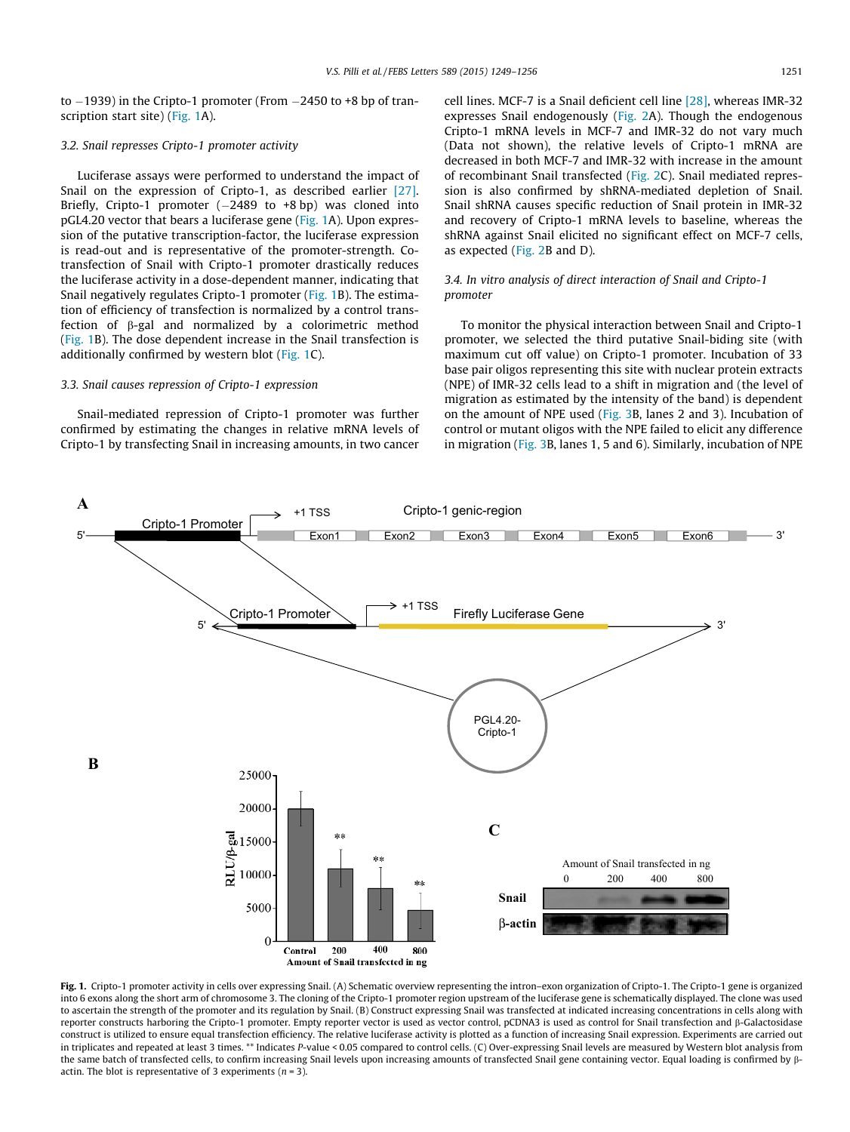to  $-1939$ ) in the Cripto-1 promoter (From  $-2450$  to  $+8$  bp of transcription start site) (Fig. 1A).

## 3.2. Snail represses Cripto-1 promoter activity

Luciferase assays were performed to understand the impact of Snail on the expression of Cripto-1, as described earlier [27]. Briefly, Cripto-1 promoter  $(-2489$  to  $+8$  bp) was cloned into pGL4.20 vector that bears a luciferase gene (Fig. 1A). Upon expression of the putative transcription-factor, the luciferase expression is read-out and is representative of the promoter-strength. Cotransfection of Snail with Cripto-1 promoter drastically reduces the luciferase activity in a dose-dependent manner, indicating that Snail negatively regulates Cripto-1 promoter (Fig. 1B). The estimation of efficiency of transfection is normalized by a control transfection of  $\beta$ -gal and normalized by a colorimetric method (Fig. 1B). The dose dependent increase in the Snail transfection is additionally confirmed by western blot (Fig. 1C).

# 3.3. Snail causes repression of Cripto-1 expression

Snail-mediated repression of Cripto-1 promoter was further confirmed by estimating the changes in relative mRNA levels of Cripto-1 by transfecting Snail in increasing amounts, in two cancer

cell lines. MCF-7 is a Snail deficient cell line [28], whereas IMR-32 expresses Snail endogenously (Fig. 2A). Though the endogenous Cripto-1 mRNA levels in MCF-7 and IMR-32 do not vary much (Data not shown), the relative levels of Cripto-1 mRNA are decreased in both MCF-7 and IMR-32 with increase in the amount of recombinant Snail transfected (Fig. 2C). Snail mediated repression is also confirmed by shRNA-mediated depletion of Snail. Snail shRNA causes specific reduction of Snail protein in IMR-32 and recovery of Cripto-1 mRNA levels to baseline, whereas the shRNA against Snail elicited no significant effect on MCF-7 cells, as expected (Fig. 2B and D).

# 3.4. In vitro analysis of direct interaction of Snail and Cripto-1 promoter

To monitor the physical interaction between Snail and Cripto-1 promoter, we selected the third putative Snail-biding site (with maximum cut off value) on Cripto-1 promoter. Incubation of 33 base pair oligos representing this site with nuclear protein extracts (NPE) of IMR-32 cells lead to a shift in migration and (the level of migration as estimated by the intensity of the band) is dependent on the amount of NPE used (Fig. 3B, lanes 2 and 3). Incubation of control or mutant oligos with the NPE failed to elicit any difference in migration (Fig. 3B, lanes 1, 5 and 6). Similarly, incubation of NPE



Fig. 1. Cripto-1 promoter activity in cells over expressing Snail. (A) Schematic overview representing the intron–exon organization of Cripto-1. The Cripto-1 gene is organized into 6 exons along the short arm of chromosome 3. The cloning of the Cripto-1 promoter region upstream of the luciferase gene is schematically displayed. The clone was used to ascertain the strength of the promoter and its regulation by Snail. (B) Construct expressing Snail was transfected at indicated increasing concentrations in cells along with reporter constructs harboring the Cripto-1 promoter. Empty reporter vector is used as vector control, pCDNA3 is used as control for Snail transfection and β-Galactosidase construct is utilized to ensure equal transfection efficiency. The relative luciferase activity is plotted as a function of increasing Snail expression. Experiments are carried out in triplicates and repeated at least 3 times. \*\* Indicates P-value < 0.05 compared to control cells. (C) Over-expressing Snail levels are measured by Western blot analysis from the same batch of transfected cells, to confirm increasing Snail levels upon increasing amounts of transfected Snail gene containing vector. Equal loading is confirmed by  $\beta$ actin. The blot is representative of 3 experiments ( $n = 3$ ).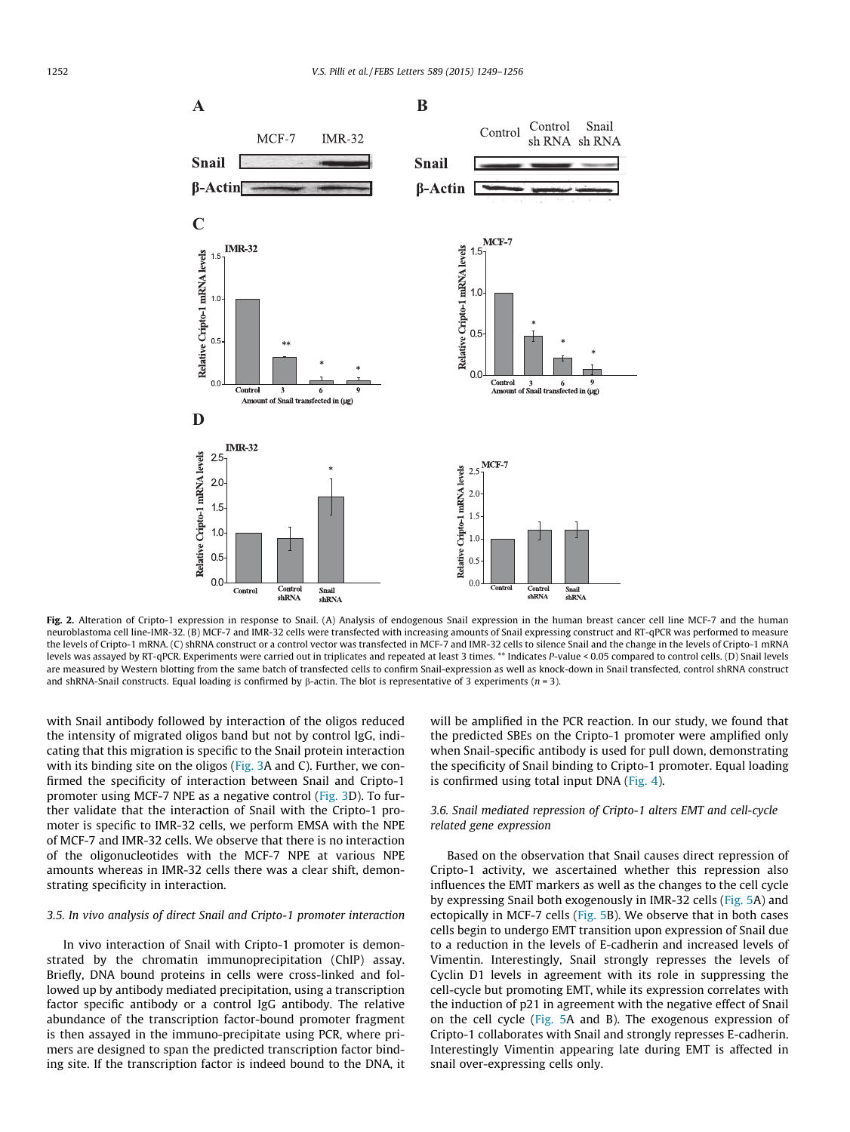

Fig. 2. Alteration of Cripto-1 expression in response to Snail. (A) Analysis of endogenous Snail expression in the human breast cancer cell line MCF-7 and the human neuroblastoma cell line-IMR-32. (B) MCF-7 and IMR-32 cells were transfected with increasing amounts of Snail expressing construct and RT-qPCR was performed to measure the levels of Cripto-1 mRNA. (C) shRNA construct or a control vector was transfected in MCF-7 and IMR-32 cells to silence Snail and the change in the levels of Cripto-1 mRNA levels was assayed by RT-qPCR. Experiments were carried out in triplicates and repeated at least 3 times. \*\* Indicates P-value < 0.05 compared to control cells. (D) Snail levels are measured by Western blotting from the same batch of transfected cells to confirm Snail-expression as well as knock-down in Snail transfected, control shRNA construct and shRNA-Snail constructs. Equal loading is confirmed by  $\beta$ -actin. The blot is representative of 3 experiments (n = 3).

with Snail antibody followed by interaction of the oligos reduced the intensity of migrated oligos band but not by control IgG, indicating that this migration is specific to the Snail protein interaction with its binding site on the oligos (Fig. 3A and C). Further, we confirmed the specificity of interaction between Snail and Cripto-1 promoter using MCF-7 NPE as a negative control (Fig. 3D). To further validate that the interaction of Snail with the Cripto-1 promoter is specific to IMR-32 cells, we perform EMSA with the NPE of MCF-7 and IMR-32 cells. We observe that there is no interaction of the oligonucleotides with the MCF-7 NPE at various NPE amounts whereas in IMR-32 cells there was a clear shift, demonstrating specificity in interaction.

# 3.5. In vivo analysis of direct Snail and Cripto-1 promoter interaction

In vivo interaction of Snail with Cripto-1 promoter is demonstrated by the chromatin immunoprecipitation (ChIP) assay. Briefly, DNA bound proteins in cells were cross-linked and followed up by antibody mediated precipitation, using a transcription factor specific antibody or a control IgG antibody. The relative abundance of the transcription factor-bound promoter fragment is then assayed in the immuno-precipitate using PCR, where primers are designed to span the predicted transcription factor binding site. If the transcription factor is indeed bound to the DNA, it will be amplified in the PCR reaction. In our study, we found that the predicted SBEs on the Cripto-1 promoter were amplified only when Snail-specific antibody is used for pull down, demonstrating the specificity of Snail binding to Cripto-1 promoter. Equal loading is confirmed using total input DNA (Fig. 4).

# 3.6. Snail mediated repression of Cripto-1 alters EMT and cell-cycle related gene expression

Based on the observation that Snail causes direct repression of Cripto-1 activity, we ascertained whether this repression also influences the EMT markers as well as the changes to the cell cycle by expressing Snail both exogenously in IMR-32 cells (Fig. 5A) and ectopically in MCF-7 cells (Fig. 5B). We observe that in both cases cells begin to undergo EMT transition upon expression of Snail due to a reduction in the levels of E-cadherin and increased levels of Vimentin. Interestingly, Snail strongly represses the levels of Cyclin D1 levels in agreement with its role in suppressing the cell-cycle but promoting EMT, while its expression correlates with the induction of p21 in agreement with the negative effect of Snail on the cell cycle (Fig. 5A and B). The exogenous expression of Cripto-1 collaborates with Snail and strongly represses E-cadherin. Interestingly Vimentin appearing late during EMT is affected in snail over-expressing cells only.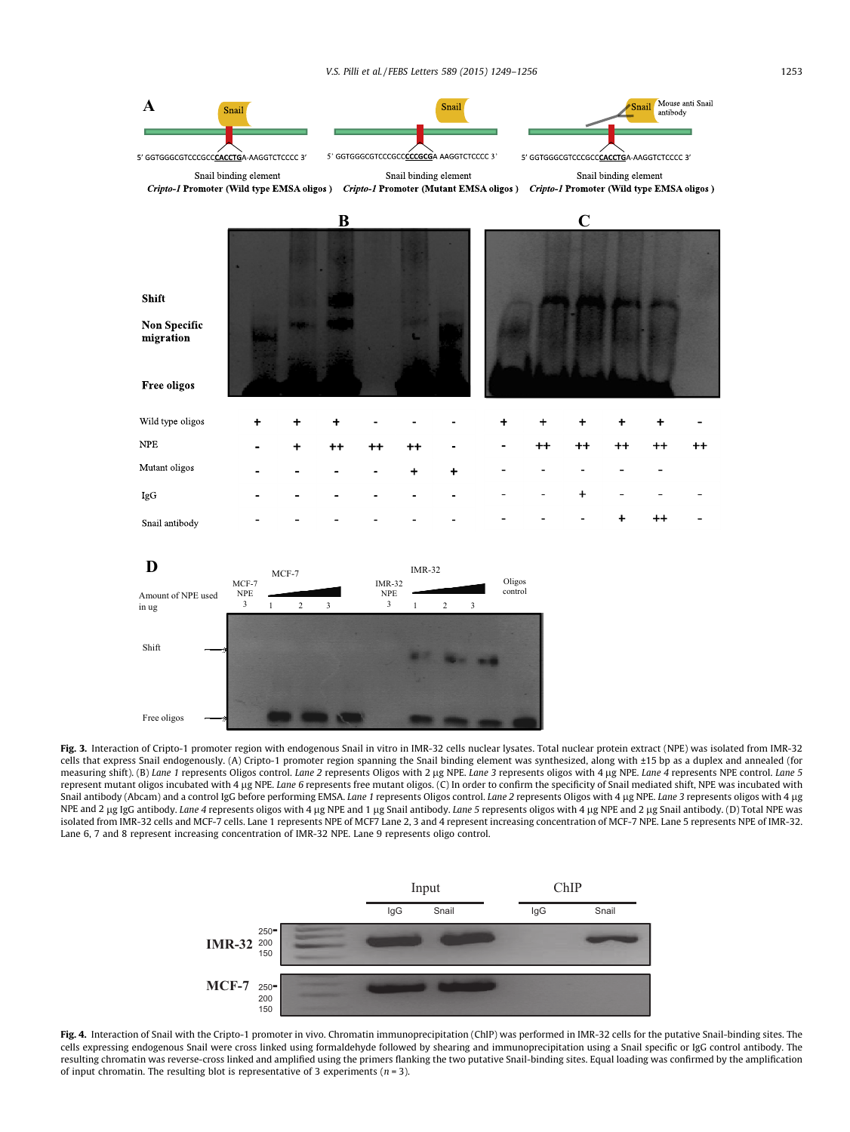

Fig. 3. Interaction of Cripto-1 promoter region with endogenous Snail in vitro in IMR-32 cells nuclear lysates. Total nuclear protein extract (NPE) was isolated from IMR-32 cells that express Snail endogenously. (A) Cripto-1 promoter region spanning the Snail binding element was synthesized, along with ±15 bp as a duplex and annealed (for measuring shift). (B) Lane 1 represents Oligos control. Lane 2 represents Oligos with 2 µg NPE. Lane 3 represents oligos with 4 µg NPE. Lane 4 represents NPE control. Lane 5 represent mutant oligos incubated with 4 µg NPE. Lane 6 represents free mutant oligos. (C) In order to confirm the specificity of Snail mediated shift, NPE was incubated with Snail antibody (Abcam) and a control IgG before performing EMSA. Lane 1 represents Oligos control. Lane 2 represents Oligos with 4 µg NPE. Lane 3 represents oligos with 4 µg NPE and 2 µg IgG antibody. Lane 4 represents oligos with 4 µg NPE and 1 µg Snail antibody. Lane 5 represents oligos with 4 µg NPE and 2 µg Snail antibody. (D) Total NPE was isolated from IMR-32 cells and MCF-7 cells. Lane 1 represents NPE of MCF7 Lane 2, 3 and 4 represent increasing concentration of MCF-7 NPE. Lane 5 represents NPE of IMR-32. Lane 6, 7 and 8 represent increasing concentration of IMR-32 NPE. Lane 9 represents oligo control.



Fig. 4. Interaction of Snail with the Cripto-1 promoter in vivo. Chromatin immunoprecipitation (ChIP) was performed in IMR-32 cells for the putative Snail-binding sites. The cells expressing endogenous Snail were cross linked using formaldehyde followed by shearing and immunoprecipitation using a Snail specific or IgG control antibody. The resulting chromatin was reverse-cross linked and amplified using the primers flanking the two putative Snail-binding sites. Equal loading was confirmed by the amplification of input chromatin. The resulting blot is representative of 3 experiments ( $n = 3$ ).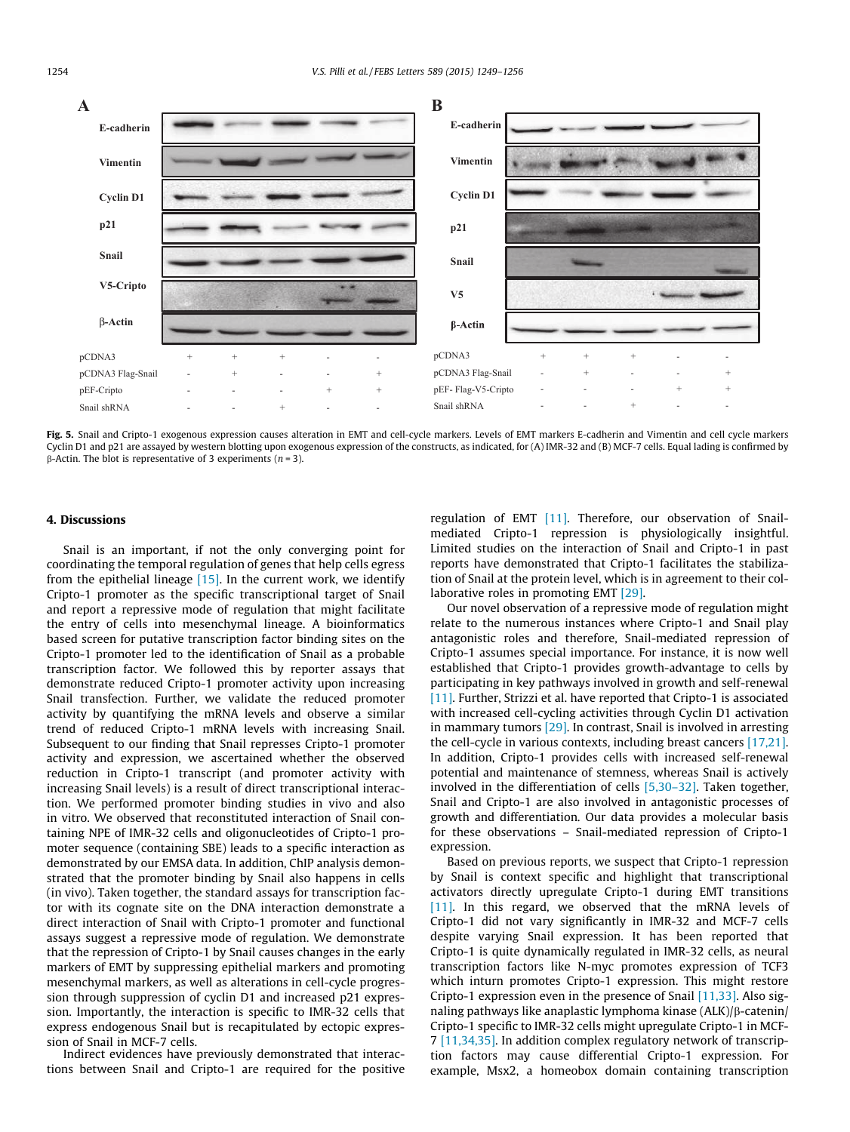

Fig. 5. Snail and Cripto-1 exogenous expression causes alteration in EMT and cell-cycle markers. Levels of EMT markers E-cadherin and Vimentin and cell cycle markers Cyclin D1 and p21 are assayed by western blotting upon exogenous expression of the constructs, as indicated, for (A) IMR-32 and (B) MCF-7 cells. Equal lading is confirmed by  $\beta$ -Actin. The blot is representative of 3 experiments (*n* = 3).

#### 4. Discussions

Snail is an important, if not the only converging point for coordinating the temporal regulation of genes that help cells egress from the epithelial lineage  $[15]$ . In the current work, we identify Cripto-1 promoter as the specific transcriptional target of Snail and report a repressive mode of regulation that might facilitate the entry of cells into mesenchymal lineage. A bioinformatics based screen for putative transcription factor binding sites on the Cripto-1 promoter led to the identification of Snail as a probable transcription factor. We followed this by reporter assays that demonstrate reduced Cripto-1 promoter activity upon increasing Snail transfection. Further, we validate the reduced promoter activity by quantifying the mRNA levels and observe a similar trend of reduced Cripto-1 mRNA levels with increasing Snail. Subsequent to our finding that Snail represses Cripto-1 promoter activity and expression, we ascertained whether the observed reduction in Cripto-1 transcript (and promoter activity with increasing Snail levels) is a result of direct transcriptional interaction. We performed promoter binding studies in vivo and also in vitro. We observed that reconstituted interaction of Snail containing NPE of IMR-32 cells and oligonucleotides of Cripto-1 promoter sequence (containing SBE) leads to a specific interaction as demonstrated by our EMSA data. In addition, ChIP analysis demonstrated that the promoter binding by Snail also happens in cells (in vivo). Taken together, the standard assays for transcription factor with its cognate site on the DNA interaction demonstrate a direct interaction of Snail with Cripto-1 promoter and functional assays suggest a repressive mode of regulation. We demonstrate that the repression of Cripto-1 by Snail causes changes in the early markers of EMT by suppressing epithelial markers and promoting mesenchymal markers, as well as alterations in cell-cycle progression through suppression of cyclin D1 and increased p21 expression. Importantly, the interaction is specific to IMR-32 cells that express endogenous Snail but is recapitulated by ectopic expression of Snail in MCF-7 cells.

Indirect evidences have previously demonstrated that interactions between Snail and Cripto-1 are required for the positive regulation of EMT [11]. Therefore, our observation of Snailmediated Cripto-1 repression is physiologically insightful. Limited studies on the interaction of Snail and Cripto-1 in past reports have demonstrated that Cripto-1 facilitates the stabilization of Snail at the protein level, which is in agreement to their collaborative roles in promoting EMT [29].

Our novel observation of a repressive mode of regulation might relate to the numerous instances where Cripto-1 and Snail play antagonistic roles and therefore, Snail-mediated repression of Cripto-1 assumes special importance. For instance, it is now well established that Cripto-1 provides growth-advantage to cells by participating in key pathways involved in growth and self-renewal [11]. Further, Strizzi et al. have reported that Cripto-1 is associated with increased cell-cycling activities through Cyclin D1 activation in mammary tumors [29]. In contrast, Snail is involved in arresting the cell-cycle in various contexts, including breast cancers [17,21]. In addition, Cripto-1 provides cells with increased self-renewal potential and maintenance of stemness, whereas Snail is actively involved in the differentiation of cells [5,30–32]. Taken together, Snail and Cripto-1 are also involved in antagonistic processes of growth and differentiation. Our data provides a molecular basis for these observations – Snail-mediated repression of Cripto-1 expression.

Based on previous reports, we suspect that Cripto-1 repression by Snail is context specific and highlight that transcriptional activators directly upregulate Cripto-1 during EMT transitions [11]. In this regard, we observed that the mRNA levels of Cripto-1 did not vary significantly in IMR-32 and MCF-7 cells despite varying Snail expression. It has been reported that Cripto-1 is quite dynamically regulated in IMR-32 cells, as neural transcription factors like N-myc promotes expression of TCF3 which inturn promotes Cripto-1 expression. This might restore Cripto-1 expression even in the presence of Snail [11,33]. Also signaling pathways like anaplastic lymphoma kinase  $(ALK)/\beta$ -catenin/ Cripto-1 specific to IMR-32 cells might upregulate Cripto-1 in MCF-7 [11,34,35]. In addition complex regulatory network of transcription factors may cause differential Cripto-1 expression. For example, Msx2, a homeobox domain containing transcription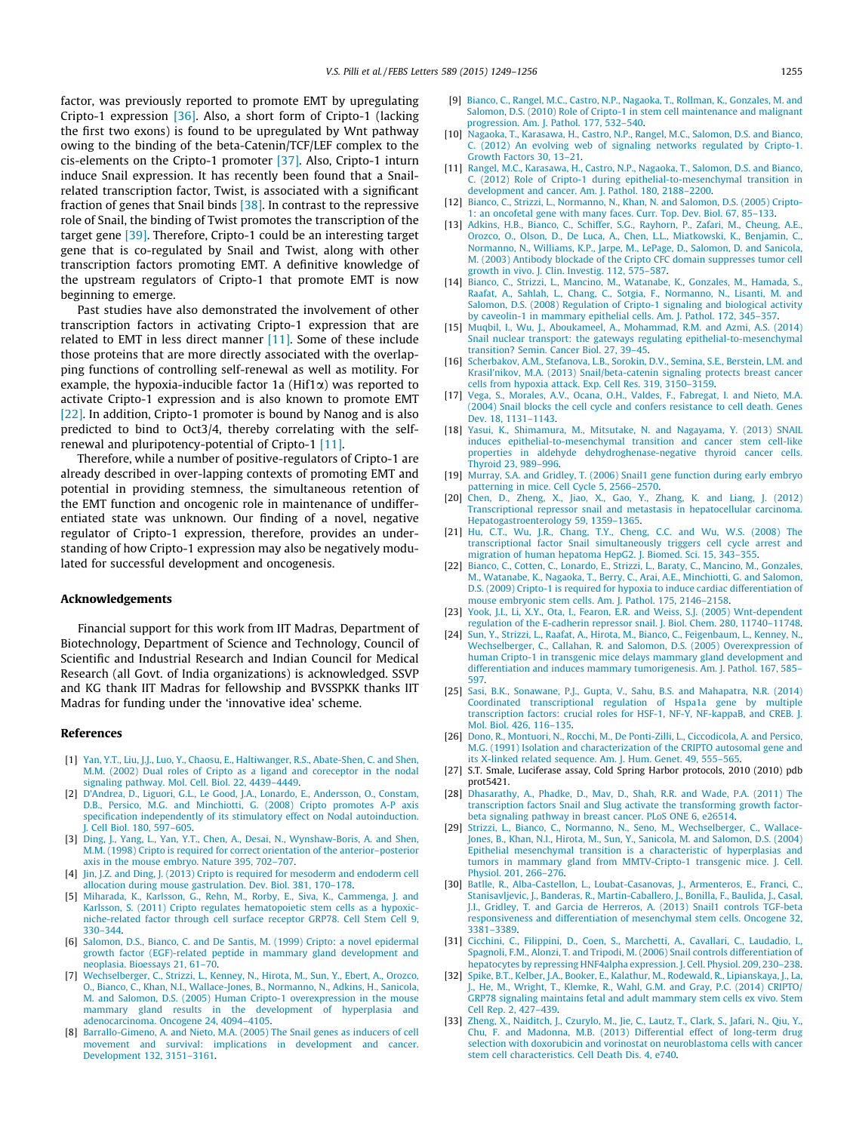factor, was previously reported to promote EMT by upregulating Cripto-1 expression [36]. Also, a short form of Cripto-1 (lacking the first two exons) is found to be upregulated by Wnt pathway owing to the binding of the beta-Catenin/TCF/LEF complex to the cis-elements on the Cripto-1 promoter [37]. Also, Cripto-1 inturn induce Snail expression. It has recently been found that a Snailrelated transcription factor, Twist, is associated with a significant fraction of genes that Snail binds [38]. In contrast to the repressive role of Snail, the binding of Twist promotes the transcription of the target gene [39]. Therefore, Cripto-1 could be an interesting target gene that is co-regulated by Snail and Twist, along with other transcription factors promoting EMT. A definitive knowledge of the upstream regulators of Cripto-1 that promote EMT is now beginning to emerge.

Past studies have also demonstrated the involvement of other transcription factors in activating Cripto-1 expression that are related to EMT in less direct manner [11]. Some of these include those proteins that are more directly associated with the overlapping functions of controlling self-renewal as well as motility. For example, the hypoxia-inducible factor 1a ( $Hif1\alpha$ ) was reported to activate Cripto-1 expression and is also known to promote EMT [22]. In addition, Cripto-1 promoter is bound by Nanog and is also predicted to bind to Oct3/4, thereby correlating with the selfrenewal and pluripotency-potential of Cripto-1 [11].

Therefore, while a number of positive-regulators of Cripto-1 are already described in over-lapping contexts of promoting EMT and potential in providing stemness, the simultaneous retention of the EMT function and oncogenic role in maintenance of undifferentiated state was unknown. Our finding of a novel, negative regulator of Cripto-1 expression, therefore, provides an understanding of how Cripto-1 expression may also be negatively modulated for successful development and oncogenesis.

#### Acknowledgements

Financial support for this work from IIT Madras, Department of Biotechnology, Department of Science and Technology, Council of Scientific and Industrial Research and Indian Council for Medical Research (all Govt. of India organizations) is acknowledged. SSVP and KG thank IIT Madras for fellowship and BVSSPKK thanks IIT Madras for funding under the 'innovative idea' scheme.

#### References

- [1] Yan, Y.T., Liu, J.J., Luo, Y., Chaosu, E., Haltiwanger, R.S., Abate-Shen, C. and Shen, M.M. (2002) Dual roles of Cripto as a ligand and coreceptor in the nodal signaling pathway. Mol. Cell. Biol. 22, 4439–4449.
- [2] D'Andrea, D., Liguori, G.L., Le Good, J.A., Lonardo, E., Andersson, O., Constam, D.B., Persico, M.G. and Minchiotti, G. (2008) Cripto promotes A-P axis specification independently of its stimulatory effect on Nodal autoinduction. J. Cell Biol. 180, 597–605.
- [3] Ding, J., Yang, L., Yan, Y.T., Chen, A., Desai, N., Wynshaw-Boris, A. and Shen, M.M. (1998) Cripto is required for correct orientation of the anterior–posterior axis in the mouse embryo. Nature 395, 702–707.
- [4] Jin, J.Z. and Ding, J. (2013) Cripto is required for mesoderm and endoderm cell allocation during mouse gastrulation. Dev. Biol. 381, 170–178.
- [5] Miharada, K., Karlsson, G., Rehn, M., Rorby, E., Siva, K., Cammenga, J. and Karlsson, S. (2011) Cripto regulates hematopoietic stem cells as a hypoxicniche-related factor through cell surface receptor GRP78. Cell Stem Cell 9, 330–344.
- [6] Salomon, D.S., Bianco, C. and De Santis, M. (1999) Cripto: a novel epidermal growth factor (EGF)-related peptide in mammary gland development and neoplasia. Bioessays 21, 61–70.
- [7] Wechselberger, C., Strizzi, L., Kenney, N., Hirota, M., Sun, Y., Ebert, A., Orozco, O., Bianco, C., Khan, N.I., Wallace-Jones, B., Normanno, N., Adkins, H., Sanicola, M. and Salomon, D.S. (2005) Human Cripto-1 overexpression in the mouse mammary gland results in the development of hyperplasia adenocarcinoma. Oncogene 24, 4094–4105.
- [8] Barrallo-Gimeno, A. and Nieto, M.A. (2005) The Snail genes as inducers of cell movement and survival: implications in development and cancer. Development 132, 3151–3161.
- [9] Bianco, C., Rangel, M.C., Castro, N.P., Nagaoka, T., Rollman, K., Gonzales, M. and Salomon, D.S. (2010) Role of Cripto-1 in stem cell maintenance and malignant progression. Am. J. Pathol. 177, 532–540.
- [10] Nagaoka, T., Karasawa, H., Castro, N.P., Rangel, M.C., Salomon, D.S. and Bianco, C. (2012) An evolving web of signaling networks regulated by Cripto-1. Growth Factors 30, 13–21.
- [11] Rangel, M.C., Karasawa, H., Castro, N.P., Nagaoka, T., Salomon, D.S. and Bianco, C. (2012) Role of Cripto-1 during epithelial-to-mesenchymal transition in development and cancer. Am. J. Pathol. 180, 2188–2200.
- [12] Bianco, C., Strizzi, L., Normanno, N., Khan, N. and Salomon, D.S. (2005) Cripto-1: an oncofetal gene with many faces. Curr. Top. Dev. Biol. 67, 85–133.
- [13] Adkins, H.B., Bianco, C., Schiffer, S.G., Rayhorn, P., Zafari, M., Cheung, A.E., Orozco, O., Olson, D., De Luca, A., Chen, L.L., Miatkowski, K., Benjamin, C., Normanno, N., Williams, K.P., Jarpe, M., LePage, D., Salomon, D. and Sanicola, M. (2003) Antibody blockade of the Cripto CFC domain suppresses tumor cell growth in vivo. J. Clin. Investig. 112, 575–587.
- [14] Bianco, C., Strizzi, L., Mancino, M., Watanabe, K., Gonzales, M., Hamada, S., Raafat, A., Sahlah, L., Chang, C., Sotgia, F., Normanno, N., Lisanti, M. and Salomon, D.S. (2008) Regulation of Cripto-1 signaling and biological activity by caveolin-1 in mammary epithelial cells. Am. J. Pathol. 172, 345–357.
- [15] Muqbil, I., Wu, J., Aboukameel, A., Mohammad, R.M. and Azmi, A.S. (2014) Snail nuclear transport: the gateways regulating epithelial-to-mesenchymal transition? Semin. Cancer Biol. 27, 39–45.
- [16] Scherbakov, A.M., Stefanova, L.B., Sorokin, D.V., Semina, S.E., Berstein, L.M. and Krasil'nikov, M.A. (2013) Snail/beta-catenin signaling protects breast cancer cells from hypoxia attack. Exp. Cell Res. 319, 3150–3159.
- [17] Vega, S., Morales, A.V., Ocana, O.H., Valdes, F., Fabregat, I. and Nieto, M.A. (2004) Snail blocks the cell cycle and confers resistance to cell death. Genes Dev. 18, 1131–1143.
- [18] Yasui, K., Shimamura, M., Mitsutake, N. and Nagayama, Y. (2013) SNAIL induces epithelial-to-mesenchymal transition and cancer stem cell-like properties in aldehyde dehydroghenase-negative thyroid cancer cells. Thyroid 23, 989–996.
- [19] Murray, S.A. and Gridley, T. (2006) Snail1 gene function during early embryo patterning in mice. Cell Cycle 5, 2566–2570.
- [20] Chen, D., Zheng, X., Jiao, X., Gao, Y., Zhang, K. and Liang, J. (2012) Transcriptional repressor snail and metastasis in hepatocellular carcinoma. Hepatogastroenterology 59, 1359–1365.
- [21] Hu, C.T., Wu, J.R., Chang, T.Y., Cheng, C.C. and Wu, W.S. (2008) The transcriptional factor Snail simultaneously triggers cell cycle arrest and migration of human hepatoma HepG2. J. Biomed. Sci. 15, 343–355.
- [22] Bianco, C., Cotten, C., Lonardo, E., Strizzi, L., Baraty, C., Mancino, M., Gonzales, M., Watanabe, K., Nagaoka, T., Berry, C., Arai, A.E., Minchiotti, G. and Salomon, D.S. (2009) Cripto-1 is required for hypoxia to induce cardiac differentiation of mouse embryonic stem cells. Am. J. Pathol. 175, 2146–2158.
- [23] Yook, J.I., Li, X.Y., Ota, I., Fearon, E.R. and Weiss, S.J. (2005) Wnt-dependent regulation of the E-cadherin repressor snail. J. Biol. Chem. 280, 11740–11748.
- [24] Sun, Y., Strizzi, L., Raafat, A., Hirota, M., Bianco, C., Feigenbaum, L., Kenney, N., Wechselberger, C., Callahan, R. and Salomon, D.S. (2005) Overexpression of human Cripto-1 in transgenic mice delays mammary gland development and differentiation and induces mammary tumorigenesis. Am. J. Pathol. 167, 585– 597.
- [25] Sasi, B.K., Sonawane, P.J., Gupta, V., Sahu, B.S. and Mahapatra, N.R. (2014) Coordinated transcriptional regulation of Hspa1a gene by multiple transcription factors: crucial roles for HSF-1, NF-Y, NF-kappaB, and CREB. J. Mol. Biol. 426, 116–135.
- [26] Dono, R., Montuori, N., Rocchi, M., De Ponti-Zilli, L., Ciccodicola, A. and Persico, M.G. (1991) Isolation and characterization of the CRIPTO autosomal gene and its X-linked related sequence. Am. J. Hum. Genet. 49, 555–565.
- [27] S.T. Smale, Luciferase assay, Cold Spring Harbor protocols, 2010 (2010) pdb prot5421.
- [28] Dhasarathy, A., Phadke, D., Mav, D., Shah, R.R. and Wade, P.A. (2011) The transcription factors Snail and Slug activate the transforming growth factorbeta signaling pathway in breast cancer. PLoS ONE 6, e26514.
- [29] Strizzi, L., Bianco, C., Normanno, N., Seno, M., Wechselberger, C., Wallace-Jones, B., Khan, N.I., Hirota, M., Sun, Y., Sanicola, M. and Salomon, D.S. (2004) Epithelial mesenchymal transition is a characteristic of hyperplasias and tumors in mammary gland from MMTV-Cripto-1 transgenic mice. J. Cell. Physiol. 201, 266–276.
- [30] Batlle, R., Alba-Castellon, L., Loubat-Casanovas, J., Armenteros, E., Franci, C., Stanisavljevic, J., Banderas, R., Martin-Caballero, J., Bonilla, F., Baulida, J., Casal, J.I., Gridley, T. and Garcia de Herreros, A. (2013) Snail1 controls TGF-beta responsiveness and differentiation of mesenchymal stem cells. Oncogene 32, 3381–3389.
- [31] Cicchini, C., Filippini, D., Coen, S., Marchetti, A., Cavallari, C., Laudadio, I., Spagnoli, F.M., Alonzi, T. and Tripodi, M. (2006) Snail controls differentiation of hepatocytes by repressing HNF4alpha expression. J. Cell. Physiol. 209, 230–238.
- [32] Spike, B.T., Kelber, J.A., Booker, E., Kalathur, M., Rodewald, R., Lipianskaya, J., La, J., He, M., Wright, T., Klemke, R., Wahl, G.M. and Gray, P.C. (2014) CRIPTO/ GRP78 signaling maintains fetal and adult mammary stem cells ex vivo. Stem Cell Rep. 2, 427–439.
- [33] Zheng, X., Naiditch, J., Czurylo, M., Jie, C., Lautz, T., Clark, S., Jafari, N., Qiu, Y., Chu, F. and Madonna, M.B. (2013) Differential effect of long-term drug selection with doxorubicin and vorinostat on neuroblastoma cells with cancer stem cell characteristics. Cell Death Dis. 4, e740.